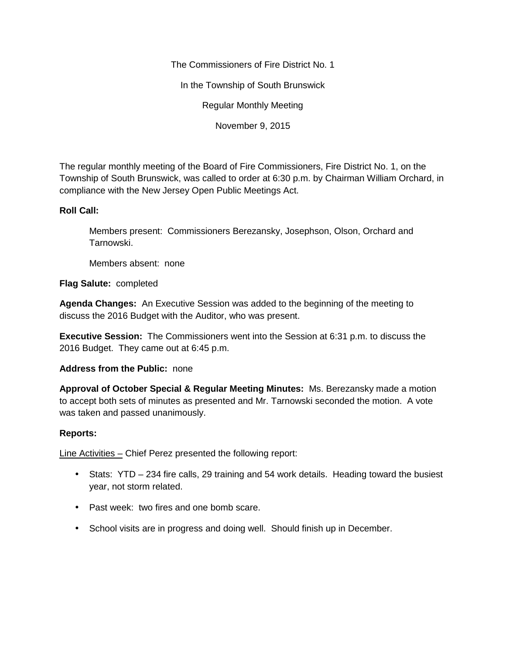The Commissioners of Fire District No. 1

In the Township of South Brunswick

Regular Monthly Meeting

November 9, 2015

The regular monthly meeting of the Board of Fire Commissioners, Fire District No. 1, on the Township of South Brunswick, was called to order at 6:30 p.m. by Chairman William Orchard, in compliance with the New Jersey Open Public Meetings Act.

## **Roll Call:**

Members present: Commissioners Berezansky, Josephson, Olson, Orchard and Tarnowski.

Members absent: none

**Flag Salute:** completed

**Agenda Changes:** An Executive Session was added to the beginning of the meeting to discuss the 2016 Budget with the Auditor, who was present.

**Executive Session:** The Commissioners went into the Session at 6:31 p.m. to discuss the 2016 Budget. They came out at 6:45 p.m.

## **Address from the Public:** none

**Approval of October Special & Regular Meeting Minutes:** Ms. Berezansky made a motion to accept both sets of minutes as presented and Mr. Tarnowski seconded the motion. A vote was taken and passed unanimously.

## **Reports:**

Line Activities – Chief Perez presented the following report:

- Stats: YTD 234 fire calls, 29 training and 54 work details. Heading toward the busiest year, not storm related.
- Past week: two fires and one bomb scare.
- School visits are in progress and doing well. Should finish up in December.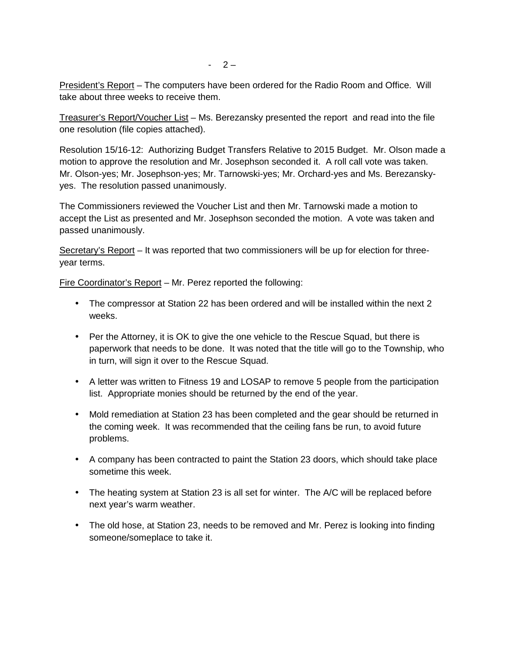$-2-$ 

President's Report – The computers have been ordered for the Radio Room and Office. Will take about three weeks to receive them.

Treasurer's Report/Voucher List – Ms. Berezansky presented the report and read into the file one resolution (file copies attached).

Resolution 15/16-12: Authorizing Budget Transfers Relative to 2015 Budget. Mr. Olson made a motion to approve the resolution and Mr. Josephson seconded it. A roll call vote was taken. Mr. Olson-yes; Mr. Josephson-yes; Mr. Tarnowski-yes; Mr. Orchard-yes and Ms. Berezansky yes. The resolution passed unanimously.

The Commissioners reviewed the Voucher List and then Mr. Tarnowski made a motion to accept the List as presented and Mr. Josephson seconded the motion. A vote was taken and passed unanimously.

Secretary's Report – It was reported that two commissioners will be up for election for three year terms.

Fire Coordinator's Report – Mr. Perez reported the following:

- The compressor at Station 22 has been ordered and will be installed within the next 2 weeks.
- Per the Attorney, it is OK to give the one vehicle to the Rescue Squad, but there is paperwork that needs to be done. It was noted that the title will go to the Township, who in turn, will sign it over to the Rescue Squad.
- A letter was written to Fitness 19 and LOSAP to remove 5 people from the participation list. Appropriate monies should be returned by the end of the year.
- Mold remediation at Station 23 has been completed and the gear should be returned in the coming week. It was recommended that the ceiling fans be run, to avoid future problems.
- A company has been contracted to paint the Station 23 doors, which should take place sometime this week.
- The heating system at Station 23 is all set for winter. The A/C will be replaced before next year's warm weather.
- The old hose, at Station 23, needs to be removed and Mr. Perez is looking into finding someone/someplace to take it.